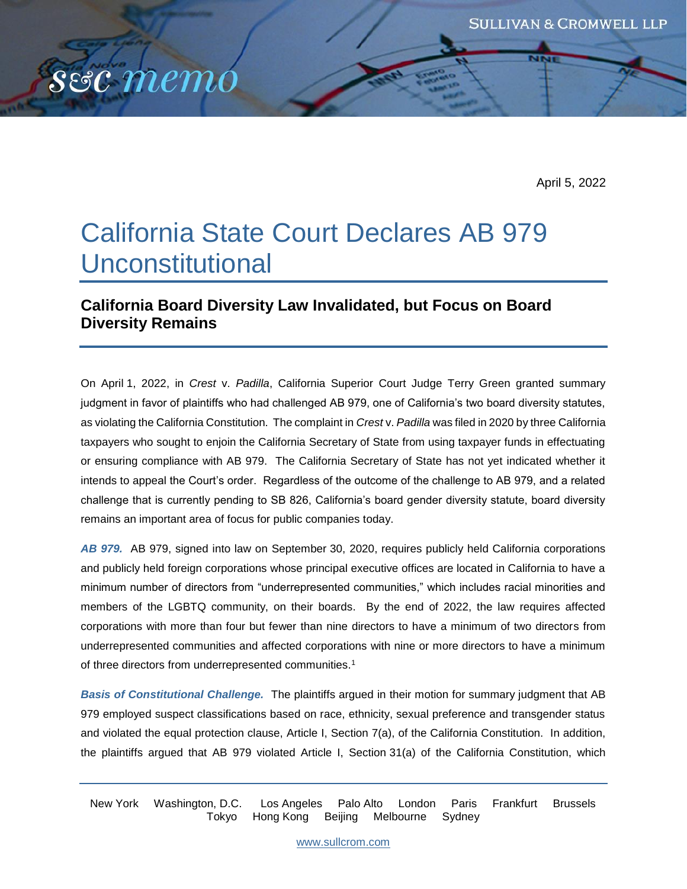April 5, 2022

# California State Court Declares AB 979 Unconstitutional

sec memo

## **California Board Diversity Law Invalidated, but Focus on Board Diversity Remains**

On April 1, 2022, in *Crest* v. *Padilla*, California Superior Court Judge Terry Green granted summary judgment in favor of plaintiffs who had challenged AB 979, one of California's two board diversity statutes, as violating the California Constitution. The complaint in *Crest* v. *Padilla* was filed in 2020 by three California taxpayers who sought to enjoin the California Secretary of State from using taxpayer funds in effectuating or ensuring compliance with AB 979. The California Secretary of State has not yet indicated whether it intends to appeal the Court's order. Regardless of the outcome of the challenge to AB 979, and a related challenge that is currently pending to SB 826, California's board gender diversity statute, board diversity remains an important area of focus for public companies today.

*AB 979.* AB 979, signed into law on September 30, 2020, requires publicly held California corporations and publicly held foreign corporations whose principal executive offices are located in California to have a minimum number of directors from "underrepresented communities," which includes racial minorities and members of the LGBTQ community, on their boards. By the end of 2022, the law requires affected corporations with more than four but fewer than nine directors to have a minimum of two directors from underrepresented communities and affected corporations with nine or more directors to have a minimum of three directors from underrepresented communities.<sup>1</sup>

*Basis of Constitutional Challenge.* The plaintiffs argued in their motion for summary judgment that AB 979 employed suspect classifications based on race, ethnicity, sexual preference and transgender status and violated the equal protection clause, Article I, Section 7(a), of the California Constitution. In addition, the plaintiffs argued that AB 979 violated Article I, Section 31(a) of the California Constitution, which

New York Washington, D.C. Los Angeles Palo Alto London Paris Frankfurt Brussels Tokyo Hong Kong Beijing Melbourne Sydney

[www.sullcrom.com](http://www.sullcrom.com/)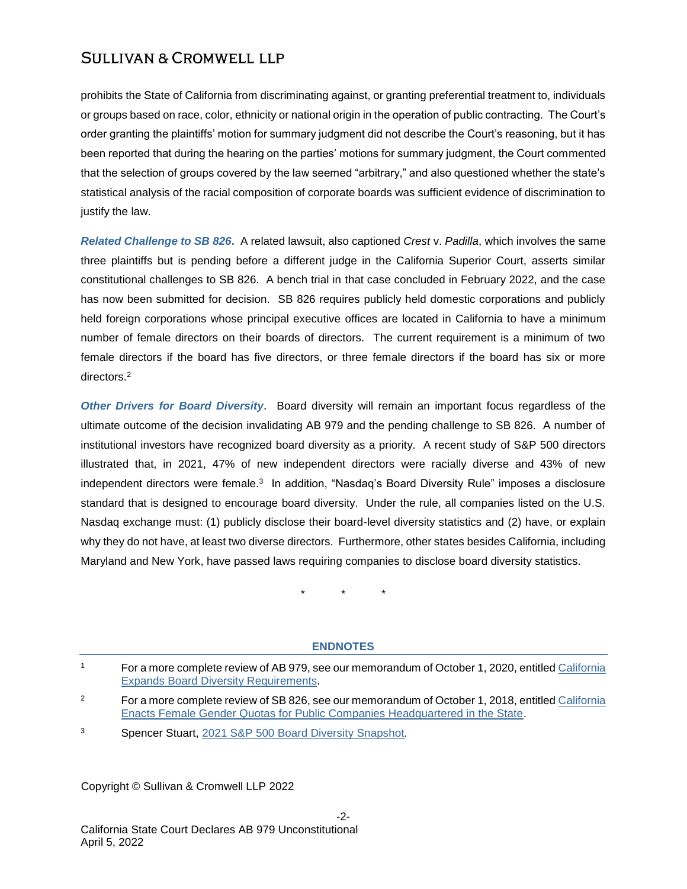## **SULLIVAN & CROMWELL LLP**

prohibits the State of California from discriminating against, or granting preferential treatment to, individuals or groups based on race, color, ethnicity or national origin in the operation of public contracting. The Court's order granting the plaintiffs' motion for summary judgment did not describe the Court's reasoning, but it has been reported that during the hearing on the parties' motions for summary judgment, the Court commented that the selection of groups covered by the law seemed "arbitrary," and also questioned whether the state's statistical analysis of the racial composition of corporate boards was sufficient evidence of discrimination to justify the law.

*Related Challenge to SB 826***.**A related lawsuit, also captioned *Crest* v. *Padilla*, which involves the same three plaintiffs but is pending before a different judge in the California Superior Court, asserts similar constitutional challenges to SB 826. A bench trial in that case concluded in February 2022, and the case has now been submitted for decision. SB 826 requires publicly held domestic corporations and publicly held foreign corporations whose principal executive offices are located in California to have a minimum number of female directors on their boards of directors. The current requirement is a minimum of two female directors if the board has five directors, or three female directors if the board has six or more directors.<sup>2</sup>

*Other Drivers for Board Diversity***.** Board diversity will remain an important focus regardless of the ultimate outcome of the decision invalidating AB 979 and the pending challenge to SB 826. A number of institutional investors have recognized board diversity as a priority. A recent study of S&P 500 directors illustrated that, in 2021, 47% of new independent directors were racially diverse and 43% of new independent directors were female.<sup>3</sup> In addition, "Nasdaq's Board Diversity Rule" imposes a disclosure standard that is designed to encourage board diversity. Under the rule, all companies listed on the U.S. Nasdaq exchange must: (1) publicly disclose their board-level diversity statistics and (2) have, or explain why they do not have, at least two diverse directors. Furthermore, other states besides California, including Maryland and New York, have passed laws requiring companies to disclose board diversity statistics.

\* \* \*

#### **ENDNOTES**

<sup>1</sup> For a more complete review of AB 979, see our memorandum of October 1, 2020, entitled [California](https://www.sullcrom.com/files/upload/sc-publication-california-expands-diversity-requirements.pdf)  [Expands Board Diversity Requirements.](https://www.sullcrom.com/files/upload/sc-publication-california-expands-diversity-requirements.pdf)

Copyright © Sullivan & Cromwell LLP 2022

<sup>&</sup>lt;sup>2</sup> For a more complete review of SB 826, see our memorandum of October 1, 2018, entitled California [Enacts Female Gender Quotas for Public Companies Headquartered in the State.](https://www.sullcrom.com/files/upload/SC-Publication-California-Enacts-Female-Gender-Quotas-for-Public-Companies-Headquartered-in-the-State.pdf)

<sup>3</sup> Spencer Stuart, [2021 S&P 500 Board Diversity Snapshot.](https://www.spencerstuart.com/-/media/2021/july/boarddiversity2021/2021_sp500_board_diversity.pdf)